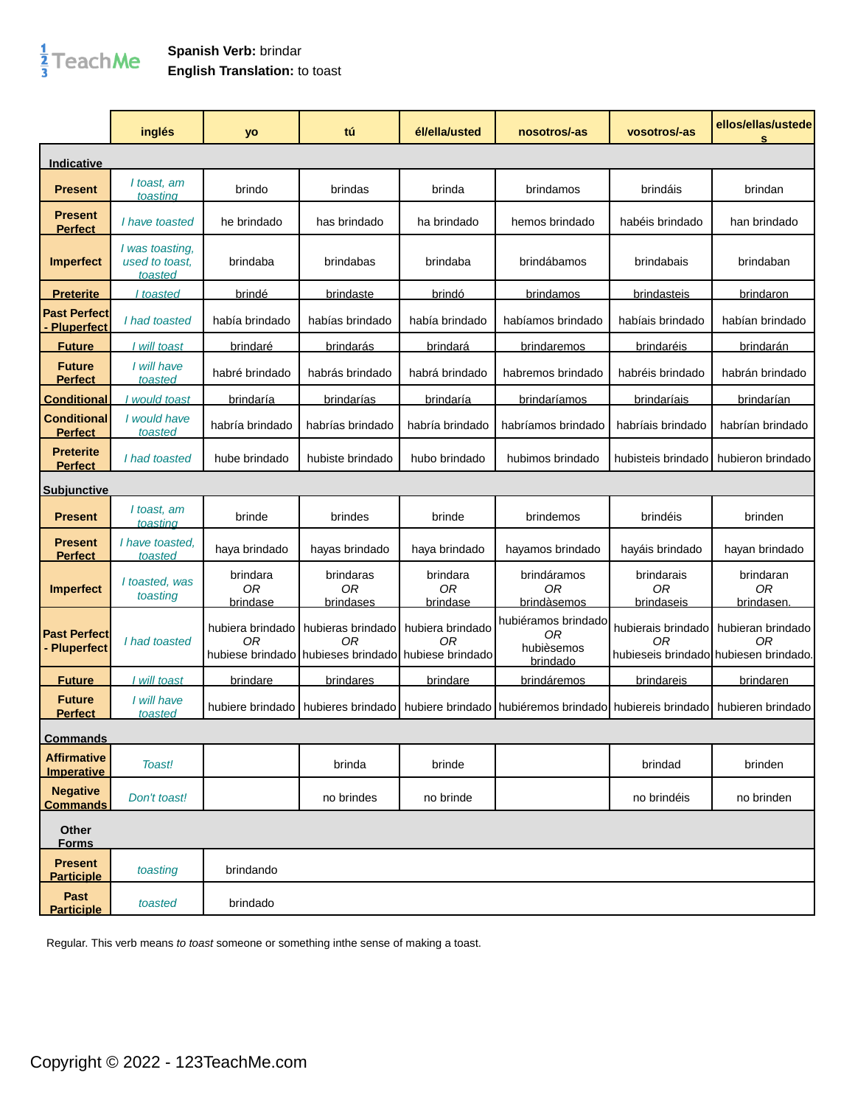## $\frac{1}{3}$ TeachMe

## **Spanish Verb:** brindar **English Translation:** to toast

|                                          | inglés                                       | yo                         | tú                                                                             | él/ella/usted                     | nosotros/-as                                            | vosotros/-as                                                      | ellos/ellas/ustede<br>s       |
|------------------------------------------|----------------------------------------------|----------------------------|--------------------------------------------------------------------------------|-----------------------------------|---------------------------------------------------------|-------------------------------------------------------------------|-------------------------------|
| Indicative                               |                                              |                            |                                                                                |                                   |                                                         |                                                                   |                               |
| <b>Present</b>                           | I toast, am<br>toasting                      | brindo                     | brindas                                                                        | brinda                            | brindamos                                               | brindáis                                                          | brindan                       |
| <b>Present</b><br><b>Perfect</b>         | I have toasted                               | he brindado                | has brindado                                                                   | ha brindado                       | hemos brindado                                          | habéis brindado                                                   | han brindado                  |
| <b>Imperfect</b>                         | I was toasting.<br>used to toast.<br>toasted | brindaba                   | brindabas                                                                      | brindaba                          | brindábamos                                             | brindabais                                                        | brindaban                     |
| <b>Preterite</b>                         | I toasted                                    | <u>brindé</u>              | <b>brindaste</b>                                                               | <u>brindó</u>                     | brindamos                                               | brindasteis                                                       | brindaron                     |
| <b>Past Perfect</b><br><b>Pluperfect</b> | I had toasted                                | había brindado             | habías brindado                                                                | había brindado                    | habíamos brindado                                       | habíais brindado                                                  | habían brindado               |
| <b>Future</b>                            | I will toast                                 | <u>brindaré</u>            | brindarás                                                                      | <u>brindará</u>                   | brindaremos                                             | brindaréis                                                        | <u>brindarán</u>              |
| <b>Future</b><br><b>Perfect</b>          | I will have<br>toasted                       | habré brindado             | habrás brindado                                                                | habrá brindado                    | habremos brindado                                       | habréis brindado                                                  | habrán brindado               |
| <u>Conditional</u>                       | would toast                                  | brindaría                  | brindarías                                                                     | brindaría                         | brindaríamos                                            | brindaríais                                                       | brindarían                    |
| <b>Conditional</b><br><b>Perfect</b>     | I would have<br>toasted                      | habría brindado            | habrías brindado                                                               | habría brindado                   | habríamos brindado                                      | habríais brindado                                                 | habrían brindado              |
| <b>Preterite</b><br><b>Perfect</b>       | I had toasted                                | hube brindado              | hubiste brindado                                                               | hubo brindado                     | hubimos brindado                                        | hubisteis brindado                                                | hubieron brindado             |
| <b>Subjunctive</b>                       |                                              |                            |                                                                                |                                   |                                                         |                                                                   |                               |
| <b>Present</b>                           | I toast, am<br>toasting                      | brinde                     | brindes                                                                        | brinde                            | brindemos                                               | brindéis                                                          | brinden                       |
| <b>Present</b><br><b>Perfect</b>         | I have toasted.<br>toasted                   | haya brindado              | hayas brindado                                                                 | haya brindado                     | hayamos brindado                                        | hayáis brindado                                                   | hayan brindado                |
| <b>Imperfect</b>                         | I toasted, was<br>toasting                   | brindara<br>0R<br>brindase | brindaras<br>0R<br>brindases                                                   | brindara<br><b>OR</b><br>brindase | brindáramos<br>ОR<br>brindàsemos                        | brindarais<br>0R<br>brindaseis                                    | brindaran<br>ОR<br>brindasen. |
| <b>Past Perfect</b><br><b>Pluperfect</b> | I had toasted                                | hubiera brindado<br>0R     | hubieras brindado<br>0R<br>hubiese brindado hubieses brindado hubiese brindado | hubiera brindado<br>0R            | hubiéramos brindado<br>ΟR<br>hubièsemos<br>brindado     | hubierais brindado<br>0R<br>hubieseis brindado hubiesen brindado. | hubieran brindado<br>0R       |
| <b>Future</b>                            | I will toast                                 | brindare                   | brindares                                                                      | brindare                          | brindáremos                                             | brindareis                                                        | brindaren                     |
| <b>Future</b><br><b>Perfect</b>          | I will have<br>toasted                       | hubiere brindado l         | hubieres brindado                                                              |                                   | hubiere brindado hubiéremos brindado hubiereis brindado |                                                                   | hubieren brindado             |
| <b>Commands</b>                          |                                              |                            |                                                                                |                                   |                                                         |                                                                   |                               |
| <b>Affirmative</b><br>Imperative         | Toast!                                       |                            | brinda                                                                         | brinde                            |                                                         | brindad                                                           | brinden                       |
| <b>Negative</b><br><b>Commands</b>       | Don't toast!                                 |                            | no brindes                                                                     | no brinde                         |                                                         | no brindéis                                                       | no brinden                    |
| Other<br><b>Forms</b>                    |                                              |                            |                                                                                |                                   |                                                         |                                                                   |                               |
| <b>Present</b><br><b>Participle</b>      | toasting                                     | brindando                  |                                                                                |                                   |                                                         |                                                                   |                               |
| Past<br><b>Participle</b>                | toasted                                      | brindado                   |                                                                                |                                   |                                                         |                                                                   |                               |

Regular. This verb means to toast someone or something inthe sense of making a toast.